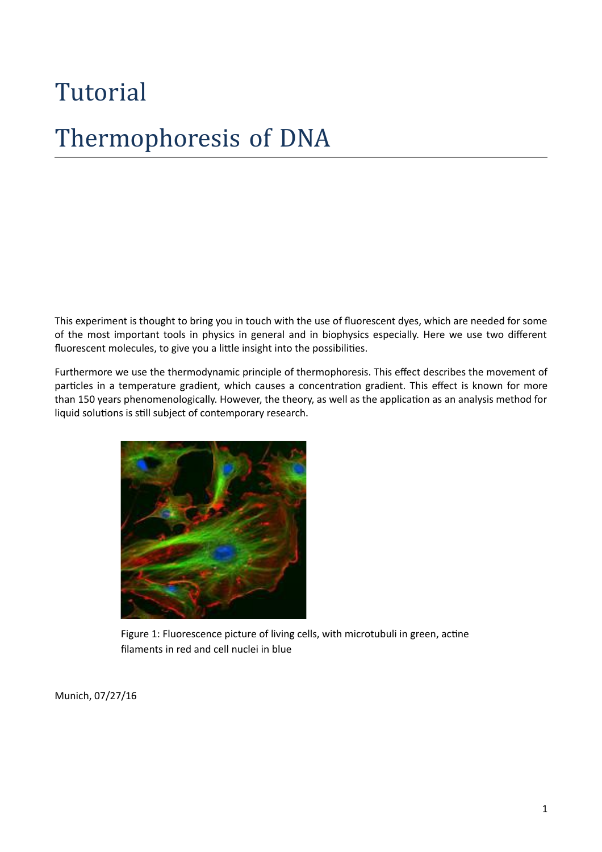# Tutorial Thermophoresis of DNA

This experiment is thought to bring you in touch with the use of fluorescent dyes, which are needed for some of the most important tools in physics in general and in biophysics especially. Here we use two different fluorescent molecules, to give you a little insight into the possibilities.

Furthermore we use the thermodynamic principle of thermophoresis. This effect describes the movement of particles in a temperature gradient, which causes a concentration gradient. This effect is known for more than 150 years phenomenologically. However, the theory, as well as the application as an analysis method for liquid solutions is still subject of contemporary research.



Figure 1: Fluorescence picture of living cells, with microtubuli in green, actine filaments in red and cell nuclei in blue

Munich, 07/27/16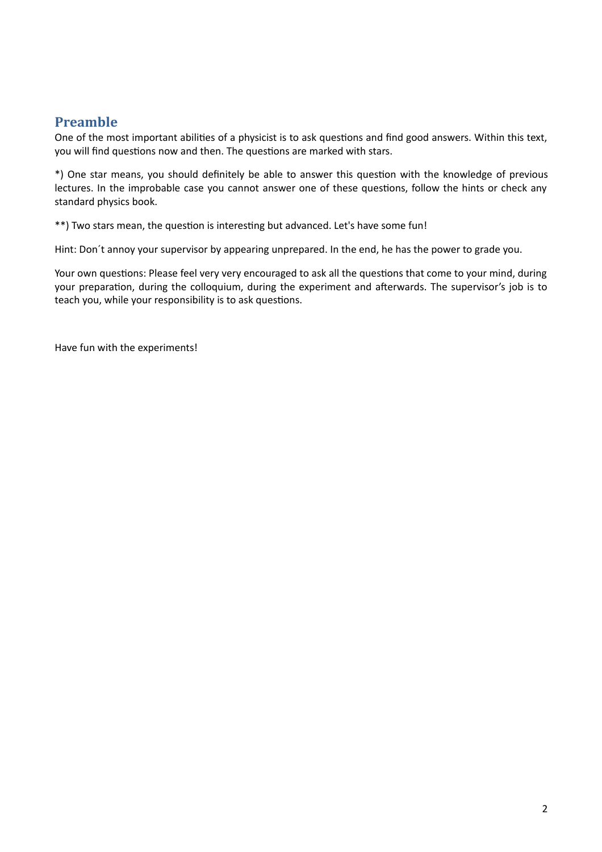# **Preamble**

One of the most important abilities of a physicist is to ask questions and find good answers. Within this text, you will find questions now and then. The questions are marked with stars.

\*) One star means, you should definitely be able to answer this question with the knowledge of previous lectures. In the improbable case you cannot answer one of these questions, follow the hints or check any standard physics book.

\*\*) Two stars mean, the question is interesting but advanced. Let's have some fun!

Hint: Don´t annoy your supervisor by appearing unprepared. In the end, he has the power to grade you.

Your own questions: Please feel very very encouraged to ask all the questions that come to your mind, during your preparation, during the colloquium, during the experiment and afterwards. The supervisor's job is to teach you, while your responsibility is to ask questions.

Have fun with the experiments!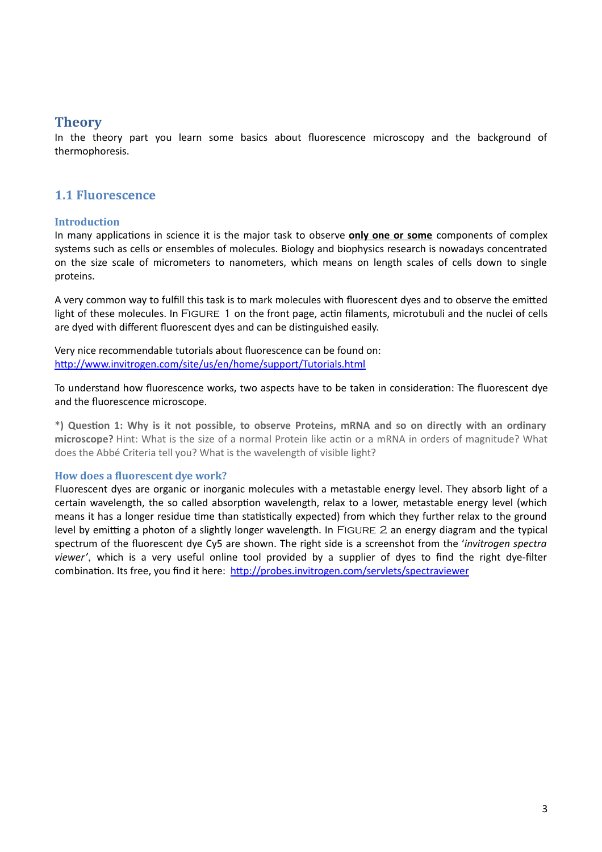# **Theory**

In the theory part you learn some basics about fluorescence microscopy and the background of thermophoresis.

# **1.1 Fluorescence**

#### **Introduction**

In many applications in science it is the major task to observe **only one or some** components of complex systems such as cells or ensembles of molecules. Biology and biophysics research is nowadays concentrated on the size scale of micrometers to nanometers, which means on length scales of cells down to single proteins.

A very common way to fulfill this task is to mark molecules with fluorescent dyes and to observe the emitted light of these molecules. In FIGURE 1 on the front page, actin filaments, microtubuli and the nuclei of cells are dyed with different fluorescent dyes and can be distinguished easily.

Very nice recommendable tutorials about fluorescence can be found on: <http://www.invitrogen.com/site/us/en/home/support/Tutorials.html>

To understand how fluorescence works, two aspects have to be taken in consideration: The fluorescent dye and the fluorescence microscope.

**\*) Question 1: Why is it not possible, to observe Proteins, mRNA and so on directly with an ordinary microscope?** Hint: What is the size of a normal Protein like actin or a mRNA in orders of magnitude? What does the Abbé Criteria tell you? What is the wavelength of visible light?

#### **How does a fluorescent dye work?**

Fluorescent dyes are organic or inorganic molecules with a metastable energy level. They absorb light of a certain wavelength, the so called absorption wavelength, relax to a lower, metastable energy level (which means it has a longer residue time than statistically expected) from which they further relax to the ground level by emitting a photon of a slightly longer wavelength. In Figure 2 an energy diagram and the typical spectrum of the fluorescent dye Cy5 are shown. The right side is a screenshot from the '*invitrogen spectra viewer'*, which is a very useful online tool provided by a supplier of dyes to find the right dye-filter combination. Its free, you find it here: <http://probes.invitrogen.com/servlets/spectraviewer>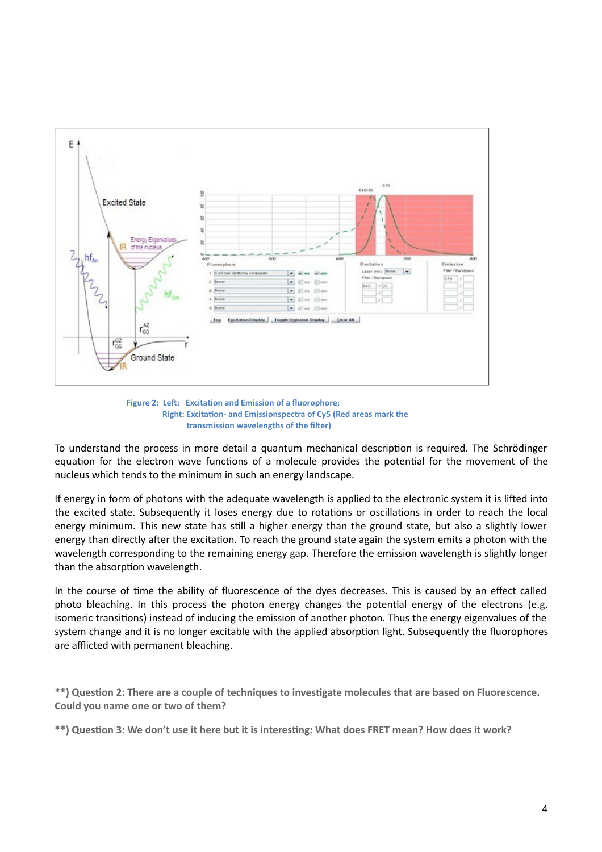



To understand the process in more detail a quantum mechanical description is required. The Schrödinger equation for the electron wave functions of a molecule provides the potential for the movement of the nucleus which tends to the minimum in such an energy landscape.

If energy in form of photons with the adequate wavelength is applied to the electronic system it is lifted into the excited state. Subsequently it loses energy due to rotations or oscillations in order to reach the local energy minimum. This new state has still a higher energy than the ground state, but also a slightly lower energy than directly after the excitation. To reach the ground state again the system emits a photon with the wavelength corresponding to the remaining energy gap. Therefore the emission wavelength is slightly longer than the absorption wavelength.

In the course of time the ability of fluorescence of the dyes decreases. This is caused by an effect called photo bleaching. In this process the photon energy changes the potential energy of the electrons (e.g. isomeric transitions) instead of inducing the emission of another photon. Thus the energy eigenvalues of the system change and it is no longer excitable with the applied absorption light. Subsequently the fluorophores are afflicted with permanent bleaching.

**\*\*) Question 2: There are a couple of techniques to investigate molecules that are based on Fluorescence. Could you name one or two of them?**

**\*\*) Question 3: We don't use it here but it is interesting: What does FRET mean? How does it work?**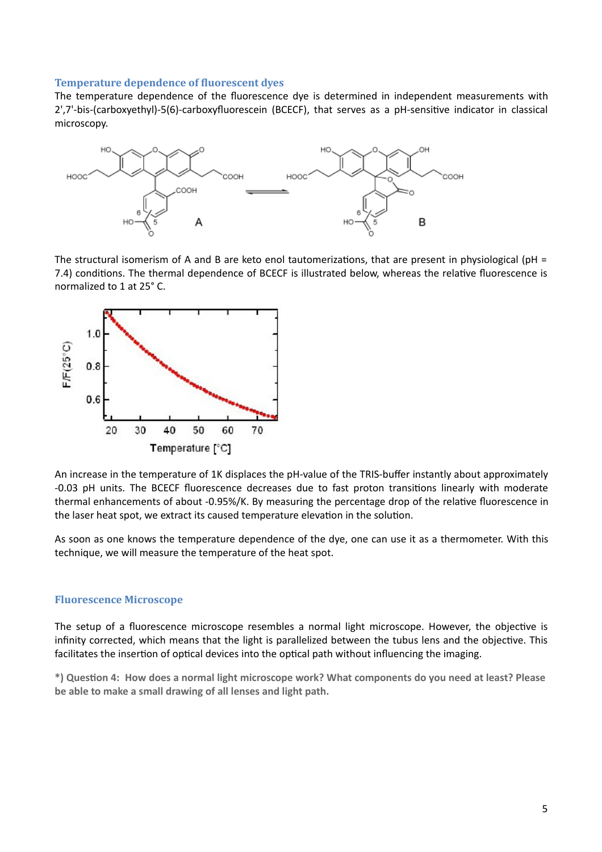#### **Temperature dependence of fluorescent dyes**

The temperature dependence of the fluorescence dye is determined in independent measurements with 2',7'-bis-(carboxyethyl)-5(6)-carboxyfluorescein (BCECF), that serves as a pH-sensitive indicator in classical microscopy.



The structural isomerism of A and B are keto enol tautomerizations, that are present in physiological (pH = 7.4) conditions. The thermal dependence of BCECF is illustrated below, whereas the relative fluorescence is normalized to 1 at 25° C.



An increase in the temperature of 1K displaces the pH-value of the TRIS-buffer instantly about approximately -0.03 pH units. The BCECF fluorescence decreases due to fast proton transitions linearly with moderate thermal enhancements of about -0.95%/K. By measuring the percentage drop of the relative fluorescence in the laser heat spot, we extract its caused temperature elevation in the solution.

As soon as one knows the temperature dependence of the dye, one can use it as a thermometer. With this technique, we will measure the temperature of the heat spot.

#### **Fluorescence Microscope**

The setup of a fluorescence microscope resembles a normal light microscope. However, the objective is infinity corrected, which means that the light is parallelized between the tubus lens and the objective. This facilitates the insertion of optical devices into the optical path without influencing the imaging.

**\*) Question 4: How does a normal light microscope work? What components do you need at least? Please be able to make a small drawing of all lenses and light path.**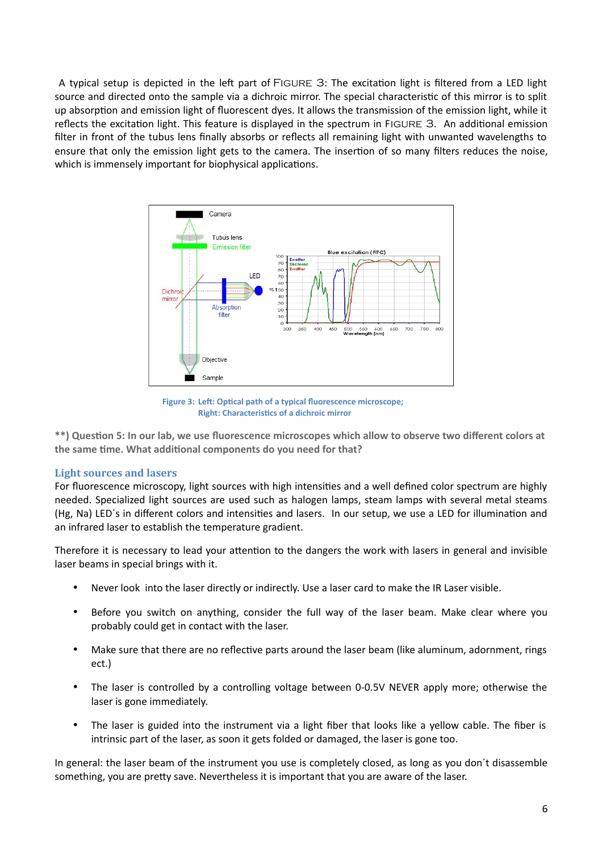A typical setup is depicted in the left part of Figure 3: The excitation light is filtered from a LED light source and directed onto the sample via a dichroic mirror. The special characteristic of this mirror is to split up absorption and emission light of fluorescent dyes. It allows the transmission of the emission light, while it reflects the excitation light. This feature is displayed in the spectrum in Figure 3. An additional emission filter in front of the tubus lens finally absorbs or reflects all remaining light with unwanted wavelengths to ensure that only the emission light gets to the camera. The insertion of so many filters reduces the noise, which is immensely important for biophysical applications.



**Figure 3: Left: Optical path of a typical fluorescence microscope; Right: Characteristics of a dichroic mirror**

**\*\*) Question 5: In our lab, we use fluorescence microscopes which allow to observe two different colors at the same time. What additional components do you need for that?**

#### **Light sources and lasers**

For fluorescence microscopy, light sources with high intensities and a well defined color spectrum are highly needed. Specialized light sources are used such as halogen lamps, steam lamps with several metal steams (Hg, Na) LED´s in different colors and intensities and lasers. In our setup, we use a LED for illumination and an infrared laser to establish the temperature gradient.

Therefore it is necessary to lead your attention to the dangers the work with lasers in general and invisible laser beams in special brings with it.

- Never look into the laser directly or indirectly. Use a laser card to make the IR Laser visible.
- Before you switch on anything, consider the full way of the laser beam. Make clear where you probably could get in contact with the laser.
- Make sure that there are no reflective parts around the laser beam (like aluminum, adornment, rings ect.)
- The laser is controlled by a controlling voltage between 0-0.5V NEVER apply more; otherwise the laser is gone immediately.
- The laser is guided into the instrument via a light fiber that looks like a yellow cable. The fiber is intrinsic part of the laser, as soon it gets folded or damaged, the laser is gone too.

In general: the laser beam of the instrument you use is completely closed, as long as you don´t disassemble something, you are pretty save. Nevertheless it is important that you are aware of the laser.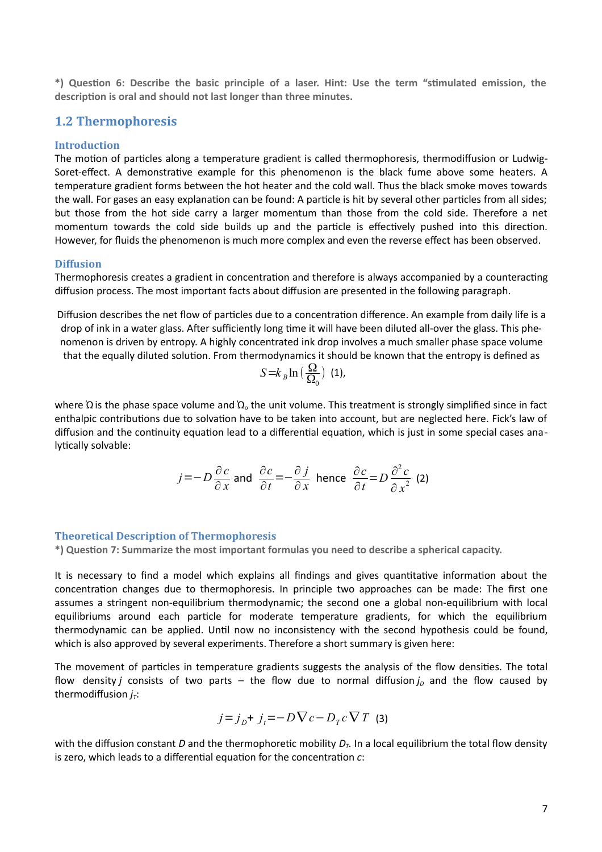**\*) Question 6: Describe the basic principle of a laser. Hint: Use the term "stimulated emission, the description is oral and should not last longer than three minutes.** 

## **1.2 Thermophoresis**

#### **Introduction**

The motion of particles along a temperature gradient is called thermophoresis, thermodiffusion or Ludwig-Soret-effect. A demonstrative example for this phenomenon is the black fume above some heaters. A temperature gradient forms between the hot heater and the cold wall. Thus the black smoke moves towards the wall. For gases an easy explanation can be found: A particle is hit by several other particles from all sides; but those from the hot side carry a larger momentum than those from the cold side. Therefore a net momentum towards the cold side builds up and the particle is effectively pushed into this direction. However, for fluids the phenomenon is much more complex and even the reverse effect has been observed.

#### **Diffusion**

Thermophoresis creates a gradient in concentration and therefore is always accompanied by a counteracting diffusion process. The most important facts about diffusion are presented in the following paragraph.

Diffusion describes the net flow of particles due to a concentration difference. An example from daily life is a drop of ink in a water glass. After sufficiently long time it will have been diluted all-over the glass. This phenomenon is driven by entropy. A highly concentrated ink drop involves a much smaller phase space volume that the equally diluted solution. From thermodynamics it should be known that the entropy is defined as

$$
S = k_B \ln\left(\frac{\Omega}{\Omega_0}\right) \text{ (1)},
$$

where  $Ω$  is the phase space volume and  $Ω<sub>o</sub>$  the unit volume. This treatment is strongly simplified since in fact enthalpic contributions due to solvation have to be taken into account, but are neglected here. Fick's law of diffusion and the continuity equation lead to a differential equation, which is just in some special cases analytically solvable:

$$
j = -D\frac{\partial c}{\partial x}
$$
 and  $\frac{\partial c}{\partial t} = -\frac{\partial j}{\partial x}$  hence  $\frac{\partial c}{\partial t} = D\frac{\partial^2 c}{\partial x^2}$  (2)

#### **Theoretical Description of Thermophoresis**

**\*) Question 7: Summarize the most important formulas you need to describe a spherical capacity.** 

It is necessary to find a model which explains all findings and gives quantitative information about the concentration changes due to thermophoresis. In principle two approaches can be made: The first one assumes a stringent non-equilibrium thermodynamic; the second one a global non-equilibrium with local equilibriums around each particle for moderate temperature gradients, for which the equilibrium thermodynamic can be applied. Until now no inconsistency with the second hypothesis could be found, which is also approved by several experiments. Therefore a short summary is given here:

The movement of particles in temperature gradients suggests the analysis of the flow densities. The total flow density *j* consists of two parts – the flow due to normal diffusion  $j<sub>D</sub>$  and the flow caused by thermodiffusion  $j<sub>T</sub>$ :

$$
j=j_D+ j_t = -D \nabla c - D_T c \nabla T
$$
 (3)

with the diffusion constant *D* and the thermophoretic mobility  $D<sub>T</sub>$ . In a local equilibrium the total flow density is zero, which leads to a differential equation for the concentration *c*: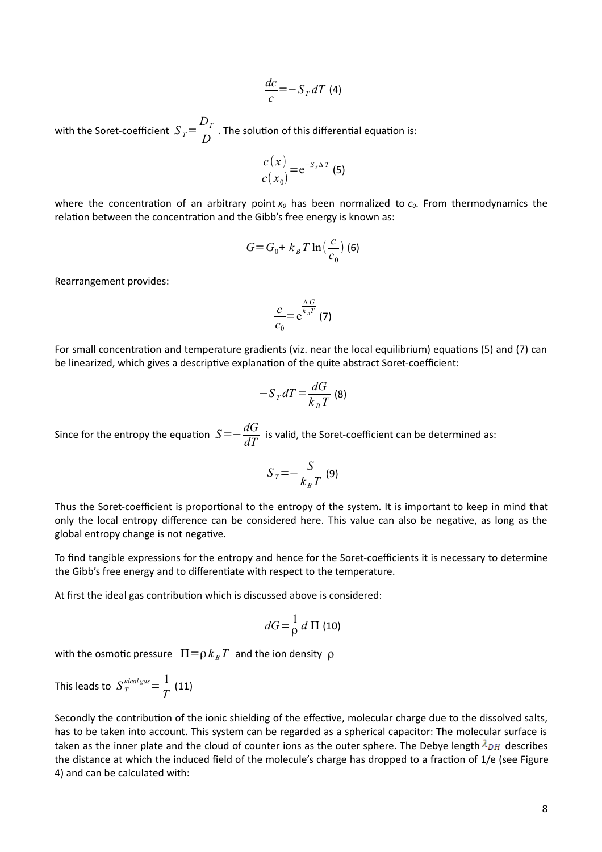$$
\frac{dc}{c} = -S_T dT
$$
 (4)

with the Soret-coefficient  $\left|S\right\rangle_T=$ *DT*  $\overline{D}$  . The solution of this differential equation is:

$$
\frac{c(x)}{c(x_0)} = e^{-S_T \Delta T}
$$
 (5)

where the concentration of an arbitrary point *x0* has been normalized to *c0*. From thermodynamics the relation between the concentration and the Gibb's free energy is known as:

$$
G = G_0 + k_B T \ln\left(\frac{c}{c_0}\right)
$$
 (6)

Rearrangement provides:

$$
\frac{c}{c_0} = e^{\frac{\Delta G}{k_B T}} (7)
$$

For small concentration and temperature gradients (viz. near the local equilibrium) equations (5) and (7) can be linearized, which gives a descriptive explanation of the quite abstract Soret-coefficient:

$$
-S_T dT = \frac{dG}{k_B T}
$$
 (8)

Since for the entropy the equation  $S=-\frac{dG}{dE}$  $\frac{dS}{dT}$  is valid, the Soret-coefficient can be determined as:

$$
S_T = -\frac{S}{k_B T}
$$
 (9)

Thus the Soret-coefficient is proportional to the entropy of the system. It is important to keep in mind that only the local entropy difference can be considered here. This value can also be negative, as long as the global entropy change is not negative.

To find tangible expressions for the entropy and hence for the Soret-coefficients it is necessary to determine the Gibb's free energy and to differentiate with respect to the temperature.

At first the ideal gas contribution which is discussed above is considered:

$$
dG = \frac{1}{\rho} d \Pi \text{ (10)}
$$

with the osmotic pressure  $\Pi = \rho k_B T$  and the ion density  $\rho$ 

This leads to  $S_T^{ideal\,gas}$   $=\frac{1}{T}$  $\frac{1}{T}$  (11)

Secondly the contribution of the ionic shielding of the effective, molecular charge due to the dissolved salts, has to be taken into account. This system can be regarded as a spherical capacitor: The molecular surface is taken as the inner plate and the cloud of counter ions as the outer sphere. The Debye length  $\lambda_{DH}$  describes the distance at which the induced field of the molecule's charge has dropped to a fraction of 1/e (see Figure 4) and can be calculated with: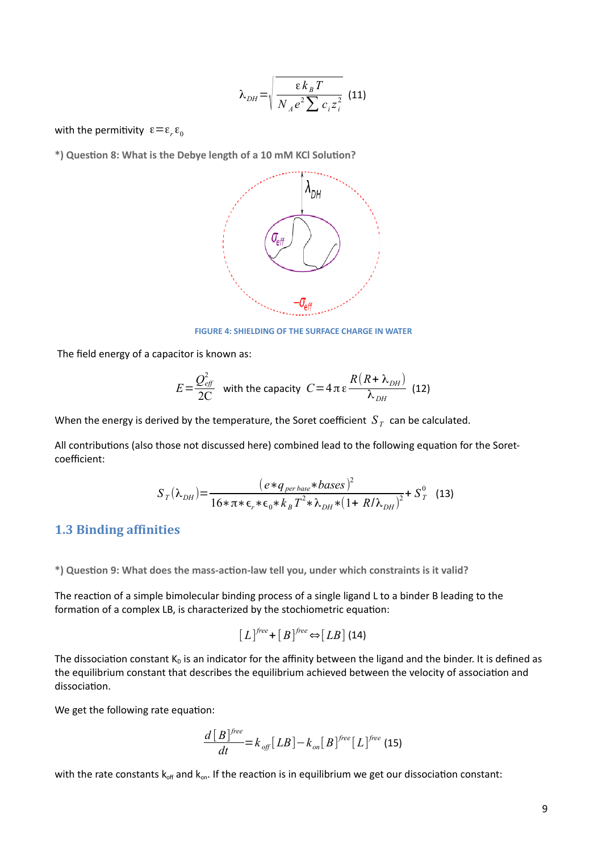$$
\lambda_{DH} = \sqrt{\frac{\epsilon k_B T}{N_A e^2 \sum c_i z_i^2}}
$$
 (11)

with the permitivity  $\mathbf{\varepsilon} \!=\! \mathbf{\varepsilon}_{r} \mathbf{\varepsilon}_{0}$ 

**\*) Question 8: What is the Debye length of a 10 mM KCl Solution?**



 **FIGURE 4: SHIELDING OF THE SURFACE CHARGE IN WATER**

The field energy of a capacitor is known as:

$$
E = \frac{Q_{\text{eff}}^2}{2C}
$$
 with the capacity  $C = 4 \pi \epsilon \frac{R(R + \lambda_{DH})}{\lambda_{DH}}$  (12)

When the energy is derived by the temperature, the Soret coefficient  $\,S_{\,T}\,$  can be calculated.

All contributions (also those not discussed here) combined lead to the following equation for the Soretcoefficient:

$$
S_T(\lambda_{DH}) = \frac{(e * q_{per base} * bases)^2}{16 * \pi * \epsilon_r * \epsilon_0 * k_B T^2 * \lambda_{DH} * (1 + R/\lambda_{DH})^2} + S_T^0
$$
 (13)

# **1.3 Binding affinities**

**\*) Question 9: What does the mass-action-law tell you, under which constraints is it valid?** 

The reaction of a simple bimolecular binding process of a single ligand L to a binder B leading to the formation of a complex LB, is characterized by the stochiometric equation:

$$
[L]^{free} + [B]^{free} \Leftrightarrow [LB] \text{ (14)}
$$

The dissociation constant  $K_D$  is an indicator for the affinity between the ligand and the binder. It is defined as the equilibrium constant that describes the equilibrium achieved between the velocity of association and dissociation.

We get the following rate equation:

$$
\frac{d [B]^{free}}{dt} = k_{off} [LB] - k_{on} [B]^{free} [L]^{free}
$$
 (15)

with the rate constants  $k_{off}$  and  $k_{on}$ . If the reaction is in equilibrium we get our dissociation constant: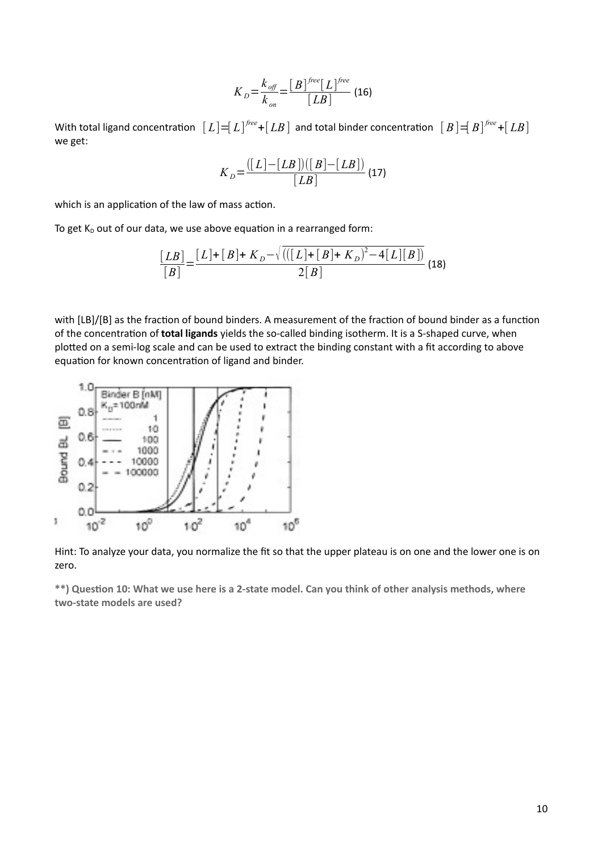$$
K_{D} = \frac{k_{\text{off}}}{k_{\text{on}}} = \frac{[B]^{free}[L]^{free}}{[LB]}
$$
(16)

With total ligand concentration  $\; [L]\!\!=\!\![L]^{free}\!\!+\!\![LB] \;$  and total binder concentration  $\; [B]\!\!=\!\![B]^{free}\!\!+\!\![LB]$ we get:

$$
K_{D} = \frac{([L] - [LB])([B] - [LB])}{[LB]} (17)
$$

which is an application of the law of mass action.

To get  $K_D$  out of our data, we use above equation in a rearranged form:

$$
\frac{[LB]}{[B]} = \frac{[L] + [B] + K_D - \sqrt{(([L] + [B] + K_D)^2 - 4[L][B])}}{2[B]}
$$
(18)

with [LB]/[B] as the fraction of bound binders. A measurement of the fraction of bound binder as a function of the concentration of **total ligands** yields the so-called binding isotherm. It is a S-shaped curve, when plotted on a semi-log scale and can be used to extract the binding constant with a fit according to above equation for known concentration of ligand and binder.



Hint: To analyze your data, you normalize the fit so that the upper plateau is on one and the lower one is on zero.

**\*\*) Question 10: What we use here is a 2-state model. Can you think of other analysis methods, where two-state models are used?**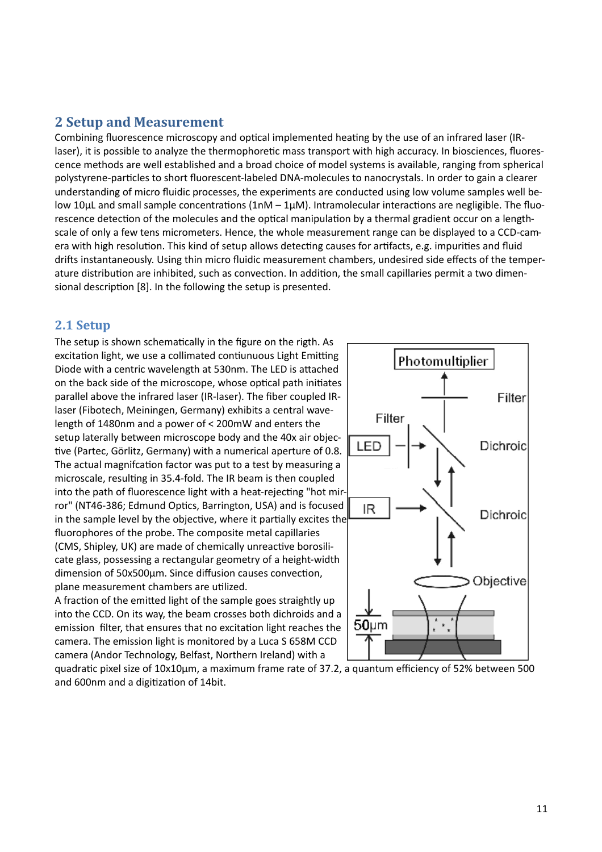# **2 Setup and Measurement**

Combining fluorescence microscopy and optical implemented heating by the use of an infrared laser (IRlaser), it is possible to analyze the thermophoretic mass transport with high accuracy. In biosciences, fluorescence methods are well established and a broad choice of model systems is available, ranging from spherical polystyrene-particles to short fluorescent-labeled DNA-molecules to nanocrystals. In order to gain a clearer understanding of micro fluidic processes, the experiments are conducted using low volume samples well below 10 $\mu$ L and small sample concentrations (1nM – 1 $\mu$ M). Intramolecular interactions are negligible. The fluorescence detection of the molecules and the optical manipulation by a thermal gradient occur on a lengthscale of only a few tens micrometers. Hence, the whole measurement range can be displayed to a CCD-camera with high resolution. This kind of setup allows detecting causes for artifacts, e.g. impurities and fluid drifts instantaneously. Using thin micro fluidic measurement chambers, undesired side effects of the temperature distribution are inhibited, such as convection. In addition, the small capillaries permit a two dimensional description [8]. In the following the setup is presented.

## **2.1 Setup**

The setup is shown schematically in the figure on the rigth. As excitation light, we use a collimated contiunuous Light Emitting Diode with a centric wavelength at 530nm. The LED is attached on the back side of the microscope, whose optical path initiates parallel above the infrared laser (IR-laser). The fiber coupled IRlaser (Fibotech, Meiningen, Germany) exhibits a central wavelength of 1480nm and a power of < 200mW and enters the setup laterally between microscope body and the 40x air objective (Partec, Görlitz, Germany) with a numerical aperture of 0.8. The actual magnifcation factor was put to a test by measuring a microscale, resulting in 35.4-fold. The IR beam is then coupled into the path of fluorescence light with a heat-rejecting "hot mirror" (NT46-386; Edmund Optics, Barrington, USA) and is focused in the sample level by the objective, where it partially excites the fluorophores of the probe. The composite metal capillaries (CMS, Shipley, UK) are made of chemically unreactive borosilicate glass, possessing a rectangular geometry of a height-width dimension of 50x500µm. Since diffusion causes convection, plane measurement chambers are utilized.

A fraction of the emitted light of the sample goes straightly up into the CCD. On its way, the beam crosses both dichroids and a emission filter, that ensures that no excitation light reaches the camera. The emission light is monitored by a Luca S 658M CCD camera (Andor Technology, Belfast, Northern Ireland) with a



quadratic pixel size of 10x10µm, a maximum frame rate of 37.2, a quantum efficiency of 52% between 500 and 600nm and a digitization of 14bit.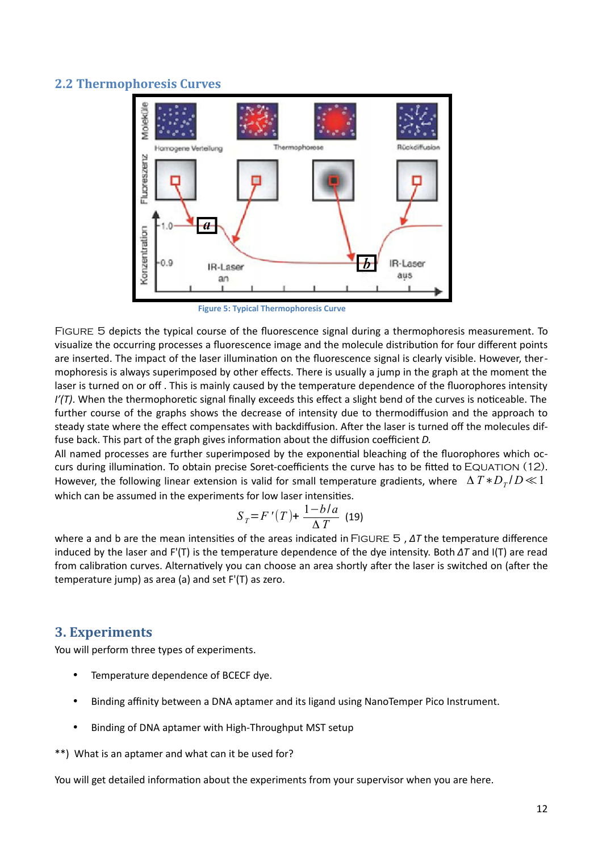## **2.2 Thermophoresis Curves**



**Figure 5: Typical Thermophoresis Curve**

Figure 5 depicts the typical course of the fluorescence signal during a thermophoresis measurement. To visualize the occurring processes a fluorescence image and the molecule distribution for four different points are inserted. The impact of the laser illumination on the fluorescence signal is clearly visible. However, thermophoresis is always superimposed by other effects. There is usually a jump in the graph at the moment the laser is turned on or off . This is mainly caused by the temperature dependence of the fluorophores intensity *I'(T)*. When the thermophoretic signal finally exceeds this effect a slight bend of the curves is noticeable. The further course of the graphs shows the decrease of intensity due to thermodiffusion and the approach to steady state where the effect compensates with backdiffusion. After the laser is turned off the molecules diffuse back. This part of the graph gives information about the diffusion coefficient *D.*

All named processes are further superimposed by the exponential bleaching of the fluorophores which occurs during illumination. To obtain precise Soret-coefficients the curve has to be fitted to EQUATION (12). However, the following linear extension is valid for small temperature gradients, where Δ *T*∗*D<sup>T</sup>* / *D*≪1 which can be assumed in the experiments for low laser intensities.

$$
S_T = F'(T) + \frac{1 - b/a}{\Delta T}
$$
 (19)

where a and b are the mean intensities of the areas indicated in Figure 5 , *ΔT* the temperature difference induced by the laser and F'(T) is the temperature dependence of the dye intensity. Both *ΔT* and I(T) are read from calibration curves. Alternatively you can choose an area shortly after the laser is switched on (after the temperature jump) as area (a) and set F'(T) as zero.

## **3. Experiments**

You will perform three types of experiments.

- Temperature dependence of BCECF dye.
- Binding affinity between a DNA aptamer and its ligand using NanoTemper Pico Instrument.
- Binding of DNA aptamer with High-Throughput MST setup

\*\*) What is an aptamer and what can it be used for?

You will get detailed information about the experiments from your supervisor when you are here.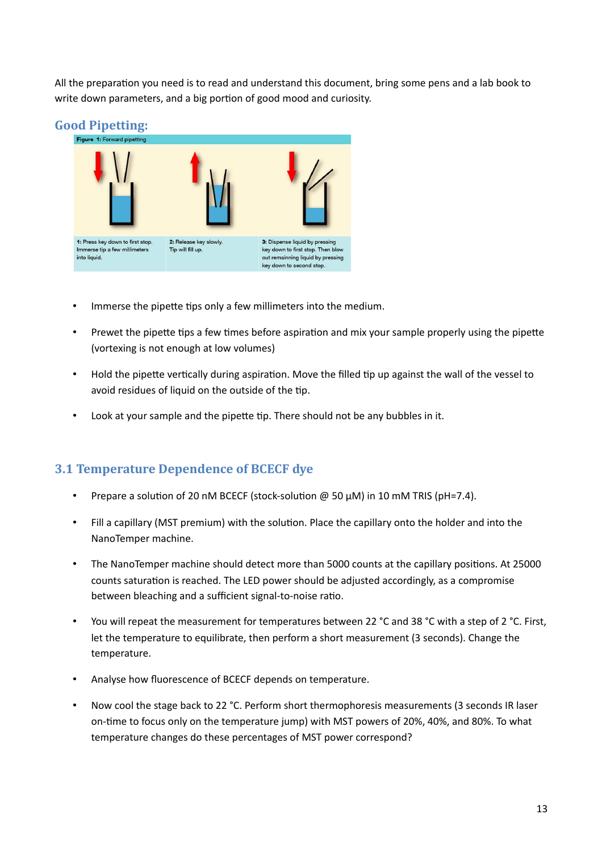All the preparation you need is to read and understand this document, bring some pens and a lab book to write down parameters, and a big portion of good mood and curiosity.



- Immerse the pipette tips only a few millimeters into the medium.
- Prewet the pipette tips a few times before aspiration and mix your sample properly using the pipette (vortexing is not enough at low volumes)
- Hold the pipette vertically during aspiration. Move the filled tip up against the wall of the vessel to avoid residues of liquid on the outside of the tip.
- Look at your sample and the pipette tip. There should not be any bubbles in it.

# **3.1 Temperature Dependence of BCECF dye**

- Prepare a solution of 20 nM BCECF (stock-solution  $@$  50  $\mu$ M) in 10 mM TRIS (pH=7.4).
- Fill a capillary (MST premium) with the solution. Place the capillary onto the holder and into the NanoTemper machine.
- The NanoTemper machine should detect more than 5000 counts at the capillary positions. At 25000 counts saturation is reached. The LED power should be adjusted accordingly, as a compromise between bleaching and a sufficient signal-to-noise ratio.
- You will repeat the measurement for temperatures between 22 °C and 38 °C with a step of 2 °C. First, let the temperature to equilibrate, then perform a short measurement (3 seconds). Change the temperature.
- Analyse how fluorescence of BCECF depends on temperature.
- Now cool the stage back to 22 °C. Perform short thermophoresis measurements (3 seconds IR laser on-time to focus only on the temperature jump) with MST powers of 20%, 40%, and 80%. To what temperature changes do these percentages of MST power correspond?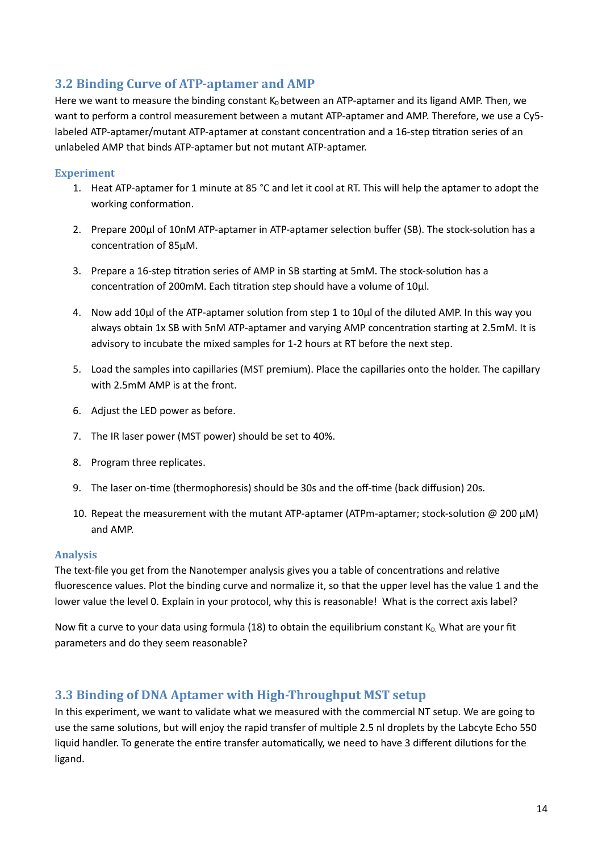# **3.2 Binding Curve of ATP-aptamer and AMP**

Here we want to measure the binding constant  $K<sub>D</sub>$  between an ATP-aptamer and its ligand AMP. Then, we want to perform a control measurement between a mutant ATP-aptamer and AMP. Therefore, we use a Cy5 labeled ATP-aptamer/mutant ATP-aptamer at constant concentration and a 16-step titration series of an unlabeled AMP that binds ATP-aptamer but not mutant ATP-aptamer.

### **Experiment**

- 1. Heat ATP-aptamer for 1 minute at 85 °C and let it cool at RT. This will help the aptamer to adopt the working conformation.
- 2. Prepare 200ul of 10nM ATP-aptamer in ATP-aptamer selection buffer (SB). The stock-solution has a concentration of 85µM.
- 3. Prepare a 16-step titration series of AMP in SB starting at 5mM. The stock-solution has a concentration of 200mM. Each titration step should have a volume of 10µl.
- 4. Now add 10µl of the ATP-aptamer solution from step 1 to 10µl of the diluted AMP. In this way you always obtain 1x SB with 5nM ATP-aptamer and varying AMP concentration starting at 2.5mM. It is advisory to incubate the mixed samples for 1-2 hours at RT before the next step.
- 5. Load the samples into capillaries (MST premium). Place the capillaries onto the holder. The capillary with 2.5mM AMP is at the front.
- 6. Adjust the LED power as before.
- 7. The IR laser power (MST power) should be set to 40%.
- 8. Program three replicates.
- 9. The laser on-time (thermophoresis) should be 30s and the off-time (back diffusion) 20s.
- 10. Repeat the measurement with the mutant ATP-aptamer (ATPm-aptamer; stock-solution  $\omega$  200  $\mu$ M) and AMP.

#### **Analysis**

The text-file you get from the Nanotemper analysis gives you a table of concentrations and relative fluorescence values. Plot the binding curve and normalize it, so that the upper level has the value 1 and the lower value the level 0. Explain in your protocol, why this is reasonable! What is the correct axis label?

Now fit a curve to your data using formula (18) to obtain the equilibrium constant  $K_D$ . What are your fit parameters and do they seem reasonable?

## **3.3 Binding of DNA Aptamer with High-Throughput MST setup**

In this experiment, we want to validate what we measured with the commercial NT setup. We are going to use the same solutions, but will enjoy the rapid transfer of multiple 2.5 nl droplets by the Labcyte Echo 550 liquid handler. To generate the entire transfer automatically, we need to have 3 different dilutions for the ligand.